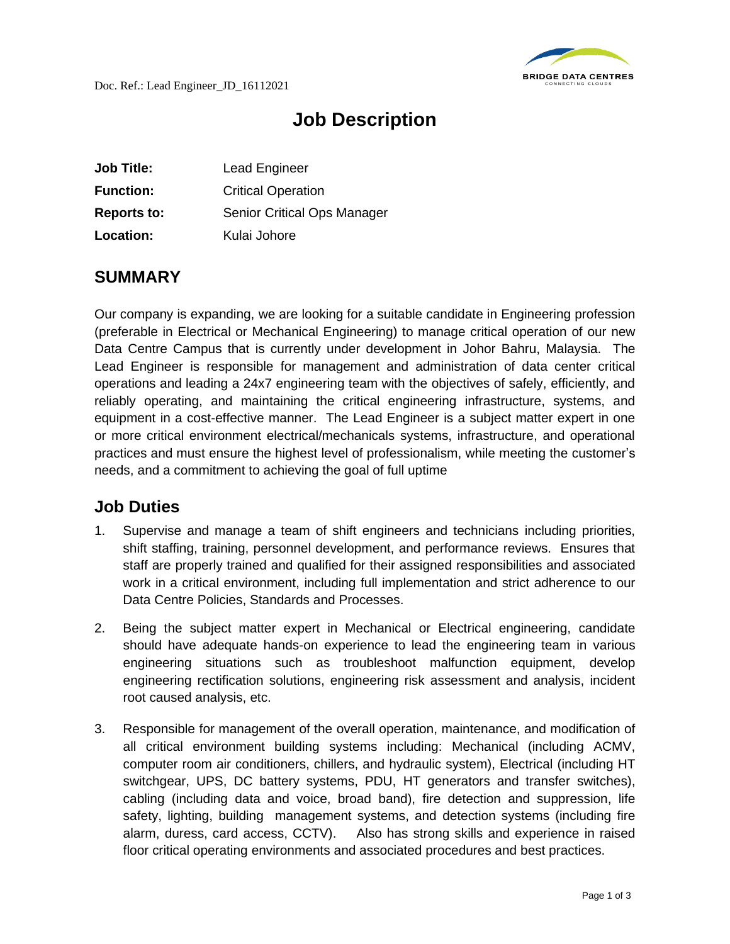

## **Job Description**

| <b>Job Title:</b>  | <b>Lead Engineer</b>        |
|--------------------|-----------------------------|
| <b>Function:</b>   | <b>Critical Operation</b>   |
| <b>Reports to:</b> | Senior Critical Ops Manager |
| Location:          | Kulai Johore                |

## **SUMMARY**

Our company is expanding, we are looking for a suitable candidate in Engineering profession (preferable in Electrical or Mechanical Engineering) to manage critical operation of our new Data Centre Campus that is currently under development in Johor Bahru, Malaysia. The Lead Engineer is responsible for management and administration of data center critical operations and leading a 24x7 engineering team with the objectives of safely, efficiently, and reliably operating, and maintaining the critical engineering infrastructure, systems, and equipment in a cost-effective manner. The Lead Engineer is a subject matter expert in one or more critical environment electrical/mechanicals systems, infrastructure, and operational practices and must ensure the highest level of professionalism, while meeting the customer's needs, and a commitment to achieving the goal of full uptime

## **Job Duties**

- 1. Supervise and manage a team of shift engineers and technicians including priorities, shift staffing, training, personnel development, and performance reviews. Ensures that staff are properly trained and qualified for their assigned responsibilities and associated work in a critical environment, including full implementation and strict adherence to our Data Centre Policies, Standards and Processes.
- 2. Being the subject matter expert in Mechanical or Electrical engineering, candidate should have adequate hands-on experience to lead the engineering team in various engineering situations such as troubleshoot malfunction equipment, develop engineering rectification solutions, engineering risk assessment and analysis, incident root caused analysis, etc.
- 3. Responsible for management of the overall operation, maintenance, and modification of all critical environment building systems including: Mechanical (including ACMV, computer room air conditioners, chillers, and hydraulic system), Electrical (including HT switchgear, UPS, DC battery systems, PDU, HT generators and transfer switches), cabling (including data and voice, broad band), fire detection and suppression, life safety, lighting, building management systems, and detection systems (including fire alarm, duress, card access, CCTV). Also has strong skills and experience in raised floor critical operating environments and associated procedures and best practices.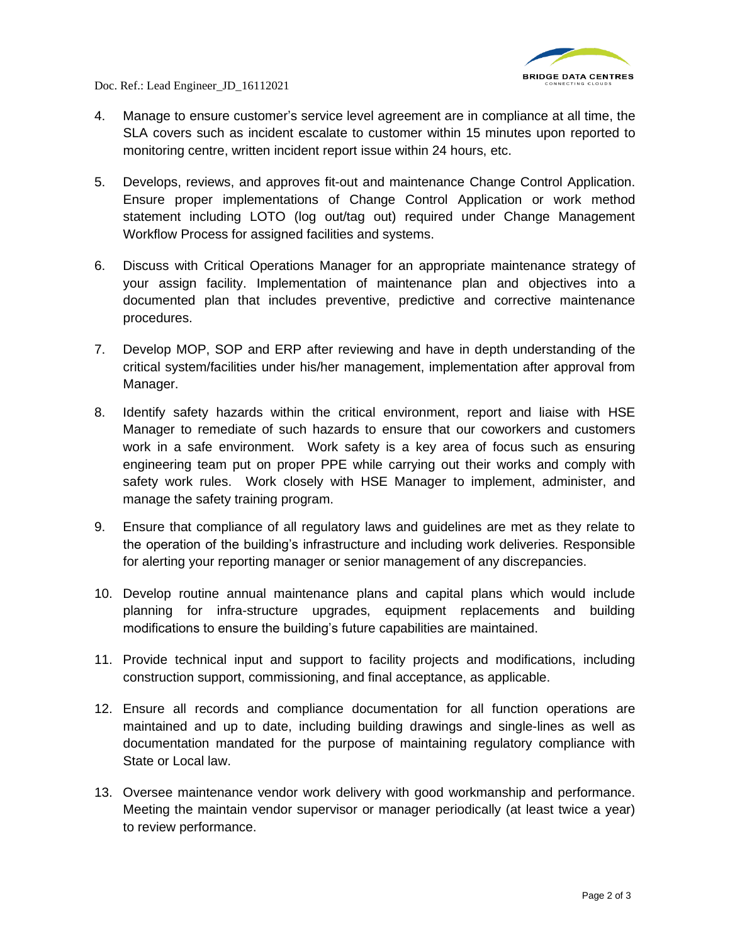

Doc. Ref.: Lead Engineer\_JD\_16112021

- 4. Manage to ensure customer's service level agreement are in compliance at all time, the SLA covers such as incident escalate to customer within 15 minutes upon reported to monitoring centre, written incident report issue within 24 hours, etc.
- 5. Develops, reviews, and approves fit-out and maintenance Change Control Application. Ensure proper implementations of Change Control Application or work method statement including LOTO (log out/tag out) required under Change Management Workflow Process for assigned facilities and systems.
- 6. Discuss with Critical Operations Manager for an appropriate maintenance strategy of your assign facility. Implementation of maintenance plan and objectives into a documented plan that includes preventive, predictive and corrective maintenance procedures.
- 7. Develop MOP, SOP and ERP after reviewing and have in depth understanding of the critical system/facilities under his/her management, implementation after approval from Manager.
- 8. Identify safety hazards within the critical environment, report and liaise with HSE Manager to remediate of such hazards to ensure that our coworkers and customers work in a safe environment. Work safety is a key area of focus such as ensuring engineering team put on proper PPE while carrying out their works and comply with safety work rules. Work closely with HSE Manager to implement, administer, and manage the safety training program.
- 9. Ensure that compliance of all regulatory laws and guidelines are met as they relate to the operation of the building's infrastructure and including work deliveries. Responsible for alerting your reporting manager or senior management of any discrepancies.
- 10. Develop routine annual maintenance plans and capital plans which would include planning for infra-structure upgrades, equipment replacements and building modifications to ensure the building's future capabilities are maintained.
- 11. Provide technical input and support to facility projects and modifications, including construction support, commissioning, and final acceptance, as applicable.
- 12. Ensure all records and compliance documentation for all function operations are maintained and up to date, including building drawings and single-lines as well as documentation mandated for the purpose of maintaining regulatory compliance with State or Local law.
- 13. Oversee maintenance vendor work delivery with good workmanship and performance. Meeting the maintain vendor supervisor or manager periodically (at least twice a year) to review performance.